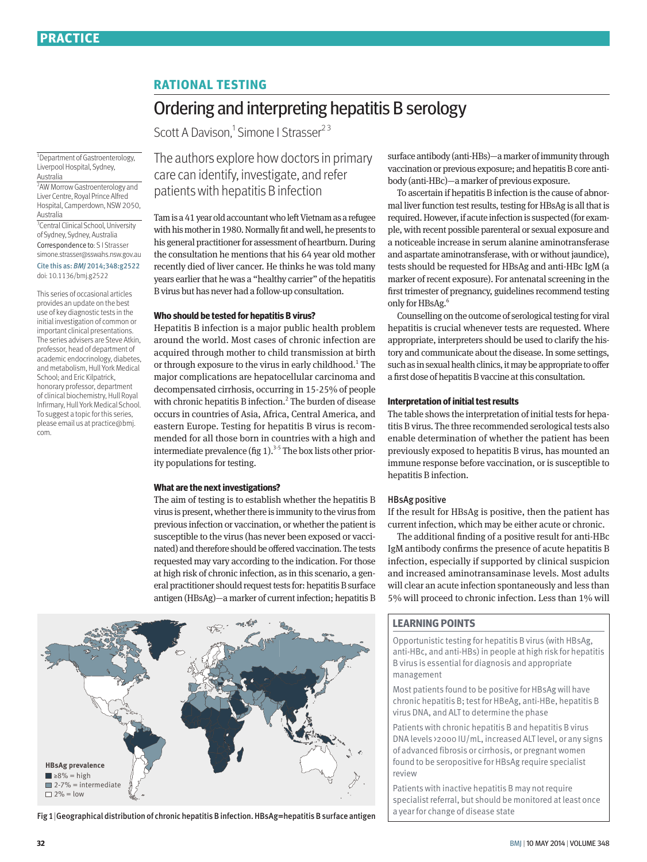## **RATIONAL TESTING**

# Ordering and interpreting hepatitis B serology

Scott A Davison,<sup>1</sup> Simone I Strasser<sup>23</sup>

1 Department of Gastroenterology, Liverpool Hospital, Sydney, Australia

2 AW Morrow Gastroenterology and Liver Centre, Royal Prince Alfred Hospital, Camperdown, NSW 2050, Australia

<sup>3</sup> Central Clinical School, University of Sydney, Sydney, Australia Correspondence to: S I Strasser simone.strasser@sswahs.nsw.gov.au

Cite this as: *BMJ* 2014;348:g2522 doi: 10.1136/bmj.g2522

This series of occasional articles provides an update on the best use of key diagnostic tests in the initial investigation of common or important clinical presentations. The series advisers are Steve Atkin, professor, head of department of academic endocrinology, diabetes, and metabolism, Hull York Medical School; and Eric Kilpatrick, honorary professor, department of clinical biochemistry, Hull Royal Infirmary, Hull York Medical School. To suggest a topic for this series, please email us at practice@bmj. com.

The authors explore how doctors in primary care can identify, investigate, and refer patients with hepatitis B infection

Tam is a 41 year old accountant who left Vietnam as a refugee with his mother in 1980. Normally fit and well, he presents to his general practitioner for assessment of heartburn. During the consultation he mentions that his 64 year old mother recently died of liver cancer. He thinks he was told many years earlier that he was a "healthy carrier" of the hepatitis B virus but has never had a follow-up consultation.

#### **Who should be tested for hepatitis B virus?**

Hepatitis B infection is a major public health problem around the world. Most cases of chronic infection are acquired through mother to child transmission at birth or through exposure to the virus in early childhood.<sup>1</sup> The major complications are hepatocellular carcinoma and decompensated cirrhosis, occurring in 15-25% of people with chronic hepatitis B infection.<sup>2</sup> The burden of disease occurs in countries of Asia, Africa, Central America, and eastern Europe. Testing for hepatitis B virus is recommended for all those born in countries with a high and intermediate prevalence (fig  $1$ ).<sup>3-5</sup> The box lists other priority populations for testing.

#### **What are the next investigations?**

The aim of testing is to establish whether the hepatitis B virus is present, whether there is immunity to the virus from previous infection or vaccination, or whether the patient is susceptible to the virus (has never been exposed or vaccinated) and therefore should be offered vaccination. The tests requested may vary according to the indication. For those at high risk of chronic infection, as in this scenario, a general practitioner should request tests for: hepatitis B surface antigen (HBsAg)—a marker of current infection; hepatitis B



Fig 1|Geographical distribution of chronic hepatitis B infection. HBsAg=hepatitis B surface antigen

surface antibody (anti-HBs)—a marker of immunity through vaccination or previous exposure; and hepatitis B core antibody (anti-HBc)—a marker of previous exposure.

To ascertain if hepatitis B infection is the cause of abnormal liver function test results, testing for HBsAg is all that is required. However, if acute infection is suspected (for example, with recent possible parenteral or sexual exposure and a noticeable increase in serum alanine aminotransferase and aspartate aminotransferase, with or without jaundice), tests should be requested for HBsAg and anti-HBc IgM (a marker of recent exposure). For antenatal screening in the first trimester of pregnancy, guidelines recommend testing only for HBsAg.<sup>6</sup>

Counselling on the outcome of serological testing for viral hepatitis is crucial whenever tests are requested. Where appropriate, interpreters should be used to clarify the history and communicate about the disease. In some settings, such as in sexual health clinics, it may be appropriate to offer a first dose of hepatitis B vaccine at this consultation.

#### **Interpretation of initial test results**

The table shows the interpretation of initial tests for hepatitis B virus. The three recommended serological tests also enable determination of whether the patient has been previously exposed to hepatitis B virus, has mounted an immune response before vaccination, or is susceptible to hepatitis B infection.

## HBsAg positive

If the result for HBsAg is positive, then the patient has current infection, which may be either acute or chronic.

The additional finding of a positive result for anti-HBc IgM antibody confirms the presence of acute hepatitis B infection, especially if supported by clinical suspicion and increased aminotransaminase levels. Most adults will clear an acute infection spontaneously and less than 5% will proceed to chronic infection. Less than 1% will

## **LEARNING POINTS**

Opportunistic testing for hepatitis B virus (with HBsAg, anti-HBc, and anti-HBs) in people at high risk for hepatitis B virus is essential for diagnosis and appropriate management

Most patients found to be positive for HBsAg will have chronic hepatitis B; test for HBeAg, anti-HBe, hepatitis B virus DNA, and ALT to determine the phase

Patients with chronic hepatitis B and hepatitis B virus DNA levels >2000 IU/mL, increased ALT level, or any signs of advanced fibrosis or cirrhosis, or pregnant women found to be seropositive for HBsAg require specialist review

Patients with inactive hepatitis B may not require specialist referral, but should be monitored at least once a year for change of disease state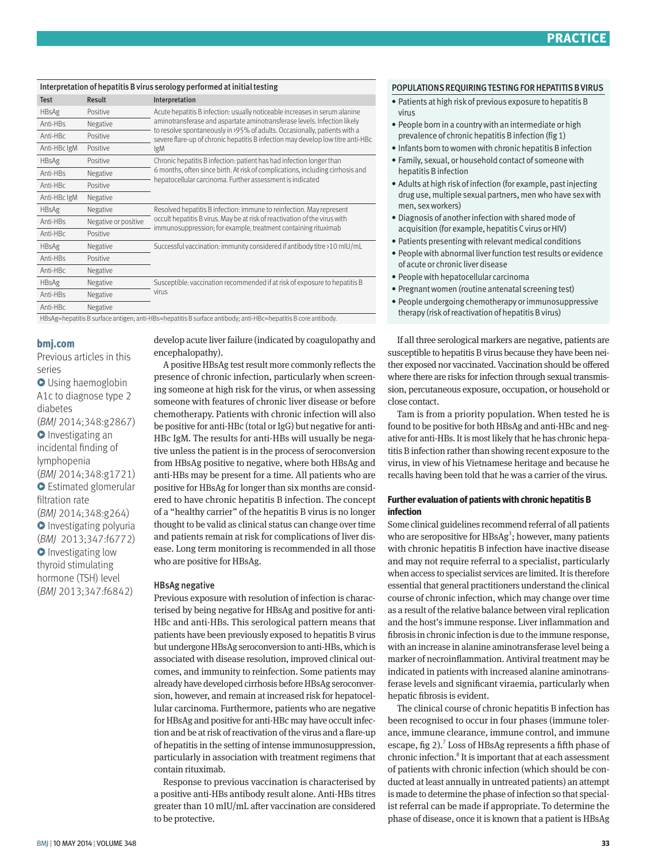## Interpretation of hepatitis B virus serology performed at initial testing

| <b>Test</b>                                                                                                   | <b>Result</b>        | Interpretation                                                                                                                                                                                                                                                                                                                |
|---------------------------------------------------------------------------------------------------------------|----------------------|-------------------------------------------------------------------------------------------------------------------------------------------------------------------------------------------------------------------------------------------------------------------------------------------------------------------------------|
| <b>HBsAg</b>                                                                                                  | Positive             | Acute hepatitis B infection: usually noticeable increases in serum alanine<br>aminotransferase and aspartate aminotransferase levels. Infection likely<br>to resolve spontaneously in >95% of adults. Occasionally, patients with a<br>severe flare-up of chronic hepatitis B infection may develop low titre anti-HBc<br>lgM |
| Anti-HBs                                                                                                      | Negative             |                                                                                                                                                                                                                                                                                                                               |
| Anti-HBc                                                                                                      | Positive             |                                                                                                                                                                                                                                                                                                                               |
| Anti-HBc IgM                                                                                                  | Positive             |                                                                                                                                                                                                                                                                                                                               |
| HBsAg                                                                                                         | Positive             | Chronic hepatitis B infection: patient has had infection longer than<br>6 months, often since birth. At risk of complications, including cirrhosis and<br>hepatocellular carcinoma. Further assessment is indicated                                                                                                           |
| Anti-HBs                                                                                                      | Negative             |                                                                                                                                                                                                                                                                                                                               |
| Anti-HBc                                                                                                      | Positive             |                                                                                                                                                                                                                                                                                                                               |
| Anti-HBc IgM                                                                                                  | Negative             |                                                                                                                                                                                                                                                                                                                               |
| <b>HBsAg</b>                                                                                                  | Negative             | Resolved hepatitis B infection: immune to reinfection. May represent<br>occult hepatitis B virus. May be at risk of reactivation of the virus with<br>immunosuppression; for example, treatment containing rituximab                                                                                                          |
| Anti-HBs                                                                                                      | Negative or positive |                                                                                                                                                                                                                                                                                                                               |
| Anti-HBc                                                                                                      | Positive             |                                                                                                                                                                                                                                                                                                                               |
| HBsAg                                                                                                         | Negative             | Successful vaccination: immunity considered if antibody titre >10 mIU/mL                                                                                                                                                                                                                                                      |
| Anti-HBs                                                                                                      | Positive             |                                                                                                                                                                                                                                                                                                                               |
| Anti-HBc                                                                                                      | Negative             |                                                                                                                                                                                                                                                                                                                               |
| HBsAg                                                                                                         | Negative             | Susceptible: vaccination recommended if at risk of exposure to hepatitis B<br>virus                                                                                                                                                                                                                                           |
| Anti-HBs                                                                                                      | Negative             |                                                                                                                                                                                                                                                                                                                               |
| Anti-HBc                                                                                                      | Negative             |                                                                                                                                                                                                                                                                                                                               |
| HBsAg=hepatitis B surface antigen; anti-HBs=hepatitis B surface antibody; anti-HBc=hepatitis B core antibody. |                      |                                                                                                                                                                                                                                                                                                                               |

**bmj.com** 

Previous articles in this series  $\bullet$  Using haemoglobin A1c to diagnose type 2 diabetes (*BMJ* 2014;348:g2867) **O** Investigating an incidental finding of lymphopenia (*BMJ* 2014;348:g1721) **O** Estimated glomerular filtration rate (*BMJ* 2014;348:g264) **O** Investigating polyuria (*BMJ* 2013;347:f6772) **O** Investigating low thyroid stimulating hormone (TSH) level (*BMJ* 2013;347:f6842)

develop acute liver failure (indicated by coagulopathy and encephalopathy).

A positive HBsAg test result more commonly reflects the presence of chronic infection, particularly when screening someone at high risk for the virus, or when assessing someone with features of chronic liver disease or before chemotherapy. Patients with chronic infection will also be positive for anti-HBc (total or IgG) but negative for anti-HBc IgM. The results for anti-HBs will usually be negative unless the patient is in the process of seroconversion from HBsAg positive to negative, where both HBsAg and anti-HBs may be present for a time. All patients who are positive for HBsAg for longer than six months are considered to have chronic hepatitis B infection. The concept of a "healthy carrier" of the hepatitis B virus is no longer thought to be valid as clinical status can change over time and patients remain at risk for complications of liver disease. Long term monitoring is recommended in all those who are positive for HBsAg.

## HBsAg negative

Previous exposure with resolution of infection is characterised by being negative for HBsAg and positive for anti-HBc and anti-HBs. This serological pattern means that patients have been previously exposed to hepatitis B virus but undergone HBsAg seroconversion to anti-HBs, which is associated with disease resolution, improved clinical outcomes, and immunity to reinfection. Some patients may already have developed cirrhosis before HBsAg seroconversion, however, and remain at increased risk for hepatocellular carcinoma. Furthermore, patients who are negative for HBsAg and positive for anti-HBc may have occult infection and be at risk of reactivation of the virus and a flare-up of hepatitis in the setting of intense immunosuppression, particularly in association with treatment regimens that contain rituximab.

Response to previous vaccination is characterised by a positive anti-HBs antibody result alone. Anti-HBs titres greater than 10 mIU/mL after vaccination are considered to be protective.

#### POPULATIONS REQUIRING TESTING FOR HEPATITIS B VIRUS

- Patients at high risk of previous exposure to hepatitis B virus
- People born in a country with an intermediate or high prevalence of chronic hepatitis B infection (fig 1)
- Infants born to women with chronic hepatitis B infection
- Family, sexual, or household contact of someone with hepatitis B infection
- Adults at high risk of infection (for example, past injecting drug use, multiple sexual partners, men who have sex with men, sex workers)
- Diagnosis of another infection with shared mode of acquisition (for example, hepatitis C virus or HIV)
- Patients presenting with relevant medical conditions
- People with abnormal liver function test results or evidence of acute or chronic liver disease
- People with hepatocellular carcinoma
- Pregnant women (routine antenatal screening test)
- People undergoing chemotherapy or immunosuppressive therapy (risk of reactivation of hepatitis B virus)

If all three serological markers are negative, patients are susceptible to hepatitis B virus because they have been neither exposed nor vaccinated. Vaccination should be offered where there are risks for infection through sexual transmission, percutaneous exposure, occupation, or household or close contact.

Tam is from a priority population. When tested he is found to be positive for both HBsAg and anti-HBc and negative for anti-HBs. It is most likely that he has chronic hepatitis B infection rather than showing recent exposure to the virus, in view of his Vietnamese heritage and because he recalls having been told that he was a carrier of the virus.

## **Further evaluation of patients with chronic hepatitis B infection**

Some clinical guidelines recommend referral of all patients who are seropositive for  $HBSAg^3$ ; however, many patients with chronic hepatitis B infection have inactive disease and may not require referral to a specialist, particularly when access to specialist services are limited. It is therefore essential that general practitioners understand the clinical course of chronic infection, which may change over time as a result of the relative balance between viral replication and the host's immune response. Liver inflammation and fibrosis in chronic infection is due to the immune response, with an increase in alanine aminotransferase level being a marker of necroinflammation. Antiviral treatment may be indicated in patients with increased alanine aminotransferase levels and significant viraemia, particularly when hepatic fibrosis is evident.

The clinical course of chronic hepatitis B infection has been recognised to occur in four phases (immune tolerance, immune clearance, immune control, and immune escape, fig 2).<sup>7</sup> Loss of HBsAg represents a fifth phase of chronic infection.<sup>8</sup> It is important that at each assessment of patients with chronic infection (which should be conducted at least annually in untreated patients) an attempt is made to determine the phase of infection so that specialist referral can be made if appropriate. To determine the phase of disease, once it is known that a patient is HBsAg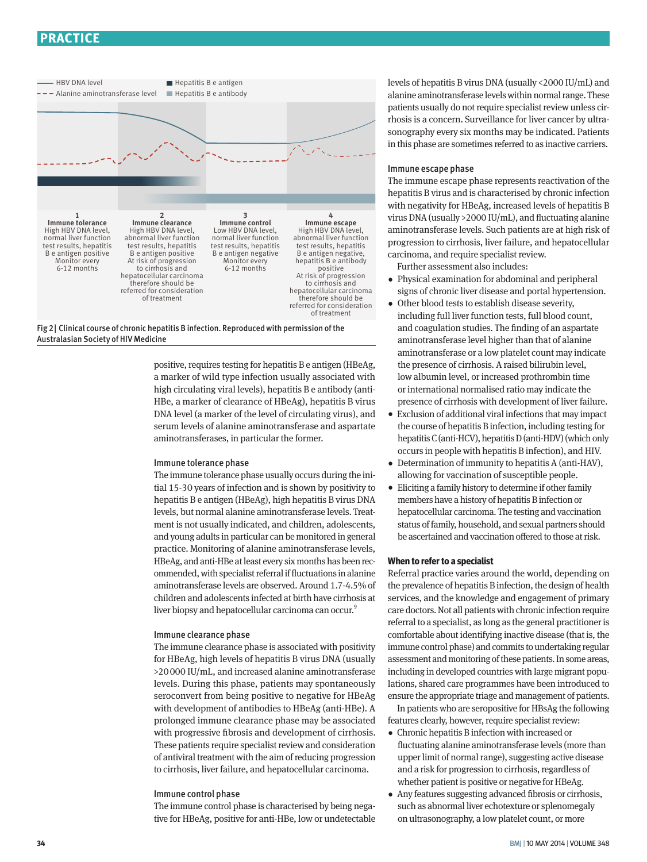## **PRACTICE**



Fig 2| Clinical course of chronic hepatitis B infection. Reproduced with permission of the Australasian Society of HIV Medicine

positive, requires testing for hepatitis B e antigen (HBeAg, a marker of wild type infection usually associated with high circulating viral levels), hepatitis B e antibody (anti-HBe, a marker of clearance of HBeAg), hepatitis B virus DNA level (a marker of the level of circulating virus), and serum levels of alanine aminotransferase and aspartate aminotransferases, in particular the former.

## Immune tolerance phase

The immune tolerance phase usually occurs during the initial 15-30 years of infection and is shown by positivity to hepatitis B e antigen (HBeAg), high hepatitis B virus DNA levels, but normal alanine aminotransferase levels. Treatment is not usually indicated, and children, adolescents, and young adults in particular can be monitored in general practice. Monitoring of alanine aminotransferase levels, HBeAg, and anti-HBe at least every six months has been recommended, with specialist referral if fluctuations in alanine aminotransferase levels are observed. Around 1.7-4.5% of children and adolescents infected at birth have cirrhosis at liver biopsy and hepatocellular carcinoma can occur.<sup>9</sup>

#### Immune clearance phase

The immune clearance phase is associated with positivity for HBeAg, high levels of hepatitis B virus DNA (usually >20000 IU/mL, and increased alanine aminotransferase levels. During this phase, patients may spontaneously seroconvert from being positive to negative for HBeAg with development of antibodies to HBeAg (anti-HBe). A prolonged immune clearance phase may be associated with progressive fibrosis and development of cirrhosis. These patients require specialist review and consideration of antiviral treatment with the aim of reducing progression to cirrhosis, liver failure, and hepatocellular carcinoma.

#### Immune control phase

The immune control phase is characterised by being negative for HBeAg, positive for anti-HBe, low or undetectable levels of hepatitis B virus DNA (usually <2000 IU/mL) and alanine aminotransferase levels within normal range. These patients usually do not require specialist review unless cirrhosis is a concern. Surveillance for liver cancer by ultrasonography every six months may be indicated. Patients in this phase are sometimes referred to as inactive carriers.

#### Immune escape phase

The immune escape phase represents reactivation of the hepatitis B virus and is characterised by chronic infection with negativity for HBeAg, increased levels of hepatitis B virus DNA (usually >2000 IU/mL), and fluctuating alanine aminotransferase levels. Such patients are at high risk of progression to cirrhosis, liver failure, and hepatocellular carcinoma, and require specialist review.

Further assessment also includes:

- •  Physical examination for abdominal and peripheral signs of chronic liver disease and portal hypertension.
- •  Other blood tests to establish disease severity, including full liver function tests, full blood count, and coagulation studies. The finding of an aspartate aminotransferase level higher than that of alanine aminotransferase or a low platelet count may indicate the presence of cirrhosis. A raised bilirubin level, low albumin level, or increased prothrombin time or international normalised ratio may indicate the presence of cirrhosis with development of liver failure.
- •  Exclusion of additional viral infections that may impact the course of hepatitis B infection, including testing for hepatitis C (anti-HCV), hepatitis D (anti-HDV) (which only occurs in people with hepatitis B infection), and HIV.
- Determination of immunity to hepatitis A (anti-HAV), allowing for vaccination of susceptible people.
- •  Eliciting a family history to determine if other family members have a history of hepatitis B infection or hepatocellular carcinoma. The testing and vaccination status of family, household, and sexual partners should be ascertained and vaccination offered to those at risk.

### **When to refer to a specialist**

Referral practice varies around the world, depending on the prevalence of hepatitis B infection, the design of health services, and the knowledge and engagement of primary care doctors. Not all patients with chronic infection require referral to a specialist, as long as the general practitioner is comfortable about identifying inactive disease (that is, the immune control phase) and commits to undertaking regular assessment and monitoring of these patients. In some areas, including in developed countries with large migrant populations, shared care programmes have been introduced to ensure the appropriate triage and management of patients.

In patients who are seropositive for HBsAg the following features clearly, however, require specialist review:

- •  Chronic hepatitis B infection with increased or fluctuating alanine aminotransferase levels (more than upper limit of normal range), suggesting active disease and a risk for progression to cirrhosis, regardless of whether patient is positive or negative for HBeAg.
- •  Any features suggesting advanced fibrosis or cirrhosis, such as abnormal liver echotexture or splenomegaly on ultrasonography, a low platelet count, or more